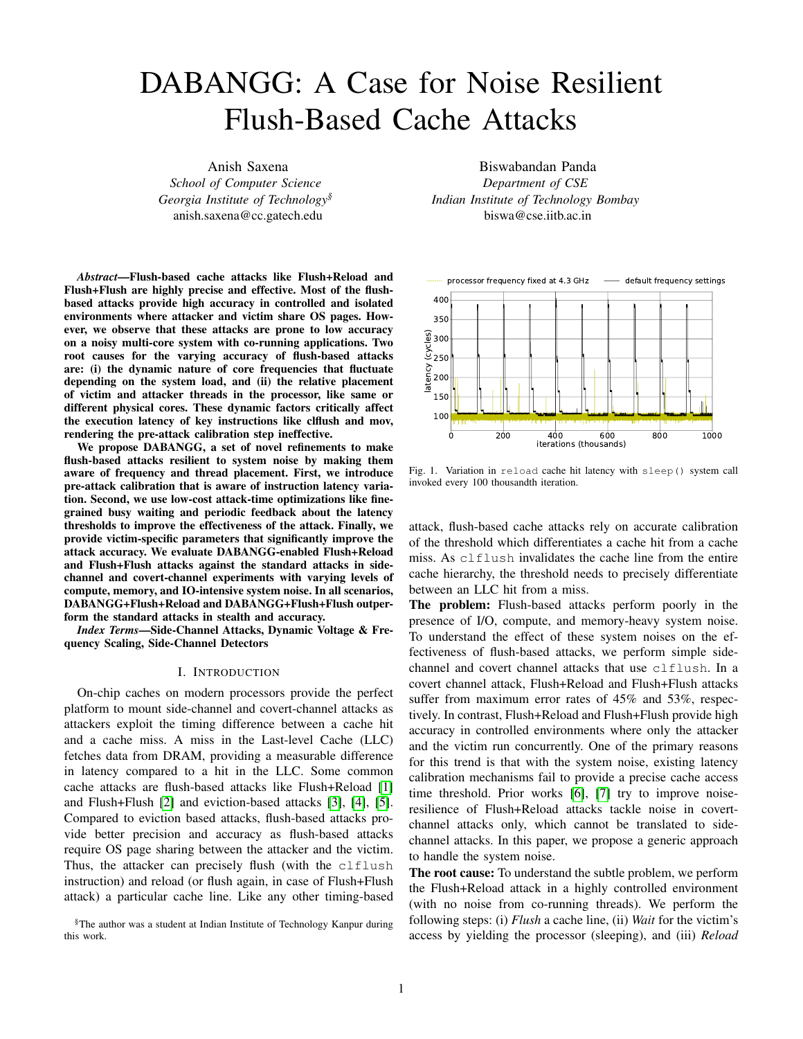# DABANGG: A Case for Noise Resilient Flush-Based Cache Attacks

Anish Saxena *School of Computer Science Georgia Institute of Technology§* anish.saxena@cc.gatech.edu

*Abstract*—Flush-based cache attacks like Flush+Reload and Flush+Flush are highly precise and effective. Most of the flushbased attacks provide high accuracy in controlled and isolated environments where attacker and victim share OS pages. However, we observe that these attacks are prone to low accuracy on a noisy multi-core system with co-running applications. Two root causes for the varying accuracy of flush-based attacks are: (i) the dynamic nature of core frequencies that fluctuate depending on the system load, and (ii) the relative placement of victim and attacker threads in the processor, like same or different physical cores. These dynamic factors critically affect the execution latency of key instructions like clflush and mov, rendering the pre-attack calibration step ineffective.

We propose DABANGG, a set of novel refinements to make flush-based attacks resilient to system noise by making them aware of frequency and thread placement. First, we introduce pre-attack calibration that is aware of instruction latency variation. Second, we use low-cost attack-time optimizations like finegrained busy waiting and periodic feedback about the latency thresholds to improve the effectiveness of the attack. Finally, we provide victim-specific parameters that significantly improve the attack accuracy. We evaluate DABANGG-enabled Flush+Reload and Flush+Flush attacks against the standard attacks in sidechannel and covert-channel experiments with varying levels of compute, memory, and IO-intensive system noise. In all scenarios, DABANGG+Flush+Reload and DABANGG+Flush+Flush outperform the standard attacks in stealth and accuracy.

*Index Terms*—Side-Channel Attacks, Dynamic Voltage & Frequency Scaling, Side-Channel Detectors

#### I. INTRODUCTION

On-chip caches on modern processors provide the perfect platform to mount side-channel and covert-channel attacks as attackers exploit the timing difference between a cache hit and a cache miss. A miss in the Last-level Cache (LLC) fetches data from DRAM, providing a measurable difference in latency compared to a hit in the LLC. Some common cache attacks are flush-based attacks like Flush+Reload [1] and Flush+Flush [2] and eviction-based attacks [3], [4], [5]. Compared to eviction based attacks, flush-based attacks provide better precision and accuracy as flush-based attacks require OS page sharing between the attacker and the victim. Thus, the attacker can precisely flush (with the clflush instruction) and reload (or flush again, in case of Flush+Flush attack) a particular cache line. Like any other timing-based

§The author was a student at Indian Institute of Technology Kanpur during this work.

Biswabandan Panda *Department of CSE Indian Institute of Technology Bombay* biswa@cse.iitb.ac.in



<span id="page-0-0"></span>Fig. 1. Variation in reload cache hit latency with sleep() system call invoked every 100 thousandth iteration.

attack, flush-based cache attacks rely on accurate calibration of the threshold which differentiates a cache hit from a cache miss. As clflush invalidates the cache line from the entire cache hierarchy, the threshold needs to precisely differentiate between an LLC hit from a miss.

The problem: Flush-based attacks perform poorly in the presence of I/O, compute, and memory-heavy system noise. To understand the effect of these system noises on the effectiveness of flush-based attacks, we perform simple sidechannel and covert channel attacks that use clflush. In a covert channel attack, Flush+Reload and Flush+Flush attacks suffer from maximum error rates of 45% and 53%, respectively. In contrast, Flush+Reload and Flush+Flush provide high accuracy in controlled environments where only the attacker and the victim run concurrently. One of the primary reasons for this trend is that with the system noise, existing latency calibration mechanisms fail to provide a precise cache access time threshold. Prior works [6], [7] try to improve noiseresilience of Flush+Reload attacks tackle noise in covertchannel attacks only, which cannot be translated to sidechannel attacks. In this paper, we propose a generic approach to handle the system noise.

The root cause: To understand the subtle problem, we perform the Flush+Reload attack in a highly controlled environment (with no noise from co-running threads). We perform the following steps: (i) *Flush* a cache line, (ii) *Wait* for the victim's access by yielding the processor (sleeping), and (iii) *Reload*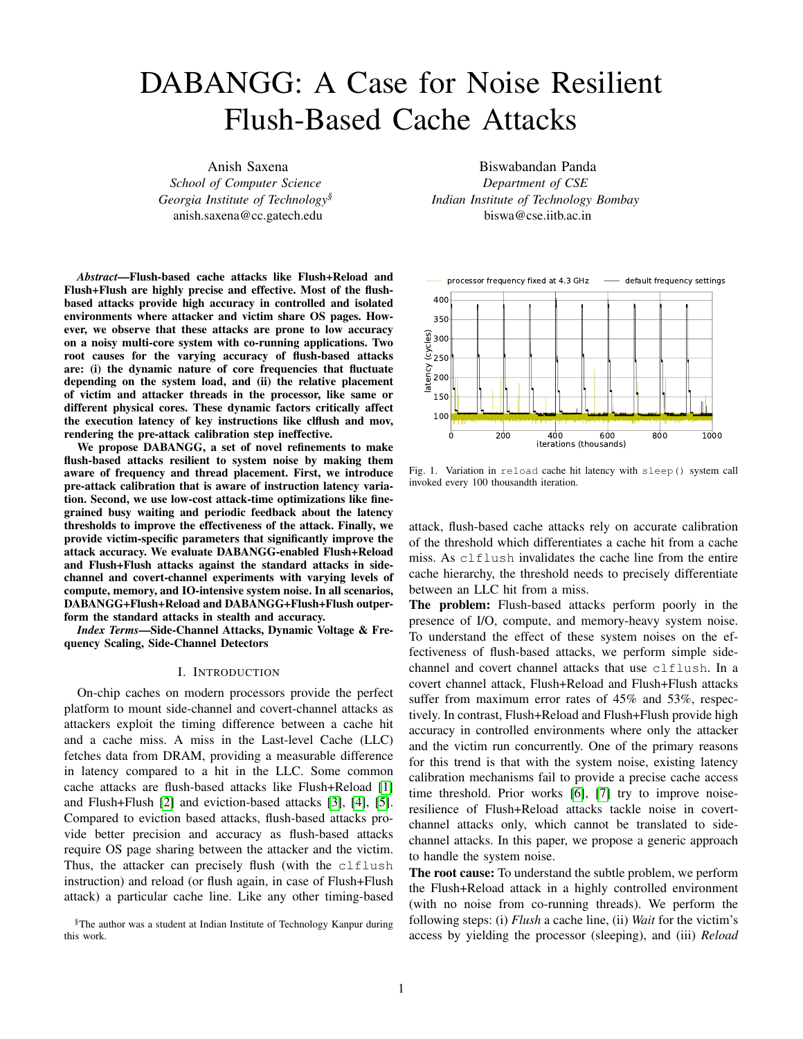

<span id="page-1-0"></span>Fig. 2. Variation in reload cache hit latency with relative placement of attacker and victim processes. All cores run at the (fixed) base frequency.

the same cache line that is flushed in step (i). We perform these three steps for thousands of attack iterations, where one iteration involves the above mentioned three steps. Figure [1](#page-0-0) shows the variation in execution latency of a reload cache hit with the mov1 instruction. For the rest of the paper, we refer to movl as the reload instruction. We use the rdtsc instruction to measure the execution time of instructions. At every 100 thousandth iteration, we use sleep() function to sleep for 1 second, which results in the black curve. Note that in a real attack, an attacker will not sleep for one second. Next, we fix the processor frequency at 4.3 GHz and repeat the same experiment. The latency remains constant at around 100 cycles.

It is clear from Figure [1](#page-0-0) that the reload latency increases drastically just after the sleep() system call. The increase in latency is due to a change in processor frequency, which is triggered by the underlying Dynamic Voltage and Frequency Scaling (DVFS) [8] controller. If an attacker sets a latency threshold to distinguish a cache hit from a miss anywhere between 100 to 400 cycles, this results in false positives and reduces the effectiveness of flush-based attacks. The frequency-oblivious latency threshold leads to low accuracy in flush-based cache attacks.

Even if we fix the frequency of all the cores, the latency of reload cache hit is still dependent on where the victim and attacker threads are located in the processor (refer to Figure [2\)](#page-1-0). The reload hit latency when the two threads run on the same (multi-threaded) physical core is different from when they run on different physical cores. Didier and Maurice [9], for instance, show that incorporating CPU interconnect topology plays an important role in calibrating clflush threshold. In this paper, we study the effect of frequency on latency variation that impacts accuracy of attacks, even on a single core CPU.

*Thus, in a noisy system with various co-running applications, the DVFS controller throttles up and down the processor frequency according to system load. However, instructions such as rdtsc that measure the timing are unaffected by the change in the processor frequencies. Consequently, when the processor runs at a lower frequency, rdtsc reports higher*

*latency even in case of a cache hit. This is further complicated by the relative placement of victim and attacker threads on the processor.*

Our goal is to improve the effectiveness of flush-based attacks in presence of extreme system noise by making them resilient to the effect of frequency and thread placement changes.

Our approach: We propose refinements that ensure the cache access latency threshold remains consistent and resilient to system noise by improving the calibration technique and the attacker's waiting strategy. We name our refinements as DABANGG [§](#page-1-1). Overall, our key contributions are as follows:

- We analyze the major shortcomings of existing flushbased attacks and argue for noise resilient flush-based attacks (Section [III\)](#page-2-0).
- We propose DABANGG refinements that makes the flush-based attacks resilient to system noise (Section [IV\)](#page-4-0).
- We evaluate the standard and DABANGG-refined attacks in the presence of different levels of compute, memory, and I/O system noise (Section V).

In the following sections, we discuss current flush-based attacks, defenses, and optimizations (Section [II\)](#page-1-2), analyze the shortcomings of current attacks (Section [III\)](#page-2-0), describe our refinements (Section [IV\)](#page-4-0), present experimental results (Section V), discuss countermeasures (Section VI), and finally present our conclusions (Section VIII).

#### II. BACKGROUND

# <span id="page-1-2"></span>*A. Dynamic Voltage & Frequency Scaling*

Frequency and voltage are the two important run-time parameters managed through DVFS. Hardware and software components work cooperatively to realize this scheme.

Hardware support: A majority of modern processors are capable of operating in various clock frequency and voltage combinations referred to as the Operating Performance Points (OPPs) or Performance states (P-states) [10]. Conventionally, frequency is actively manipulated by the software component. Therefore, performance scaling is sometimes referred to as *frequency scaling*. The P-states can be managed through kernel-level software. They can also be managed directly through a hardware-level subsystem, termed Hardwaremanaged P-states (HWP). Intel uses the Enhanced SpeedStep technology [11], and AMD uses Cool'n'Quiet and PowerNow! [12] technologies for HWP. In this case, the processor selects P-states based on its assessment of system load, although the driver can provide hints to the hardware. The nature of these hints depends on the scaling algorithm (power governor). Another technology of interest is Intel's Turbo Boost [13] (analogously, AMD's Turbo Core [14]) technology, which allows to temporarily boost the processor's frequency to values above the base frequency.

Depending on the processor model, Intel processor provides core-level granularity of frequency-scaling termed as the Per-Core P-State (PCPS), which independently optimizes

<span id="page-1-1"></span><sup>§</sup>DABANGG is a Hindi word that means *fearless*. We believe DABANGG refinements will make a flush-based attacker fearless of the system noise.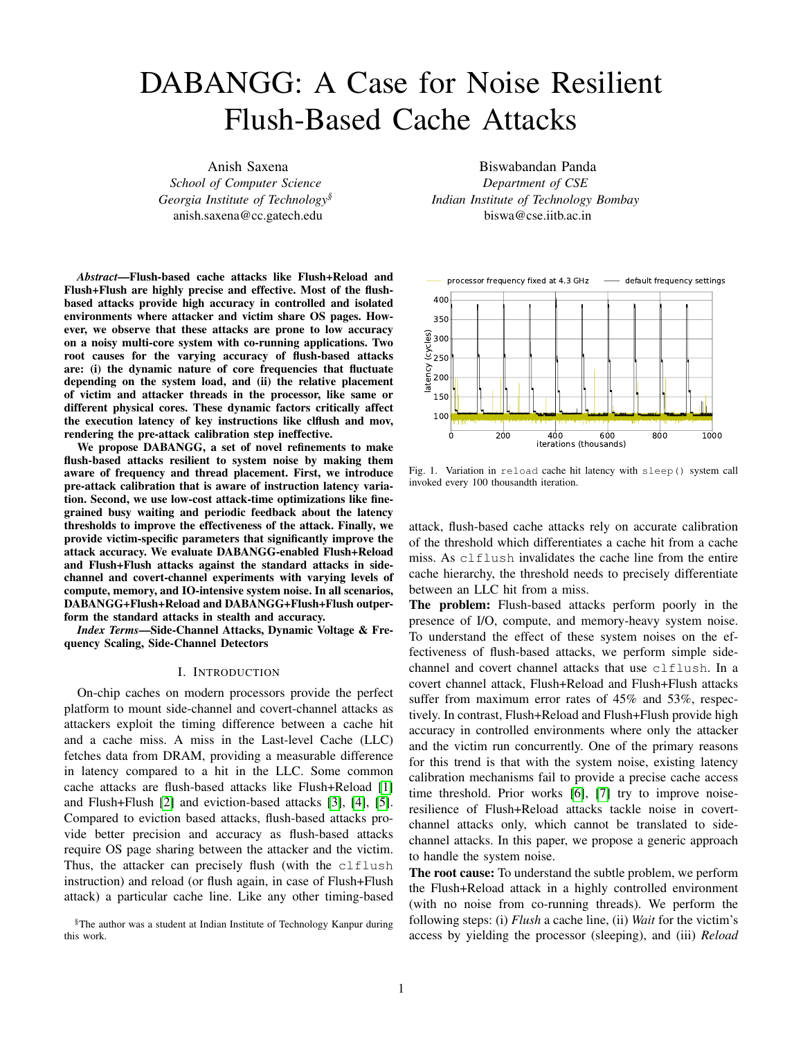### frequency for each physical core [15].

Software support: The CPUFreq subsystem in Linux coordinates frequency scaling in software and is accessible by a write-privileged user via the /sys/devices/system/cpu/ policy interface. Finetuning of this interface is possible through the sysfs interface objects. Modern Intel processors come with pstate drivers providing fine granularity of frequency scaling. It works at a logical CPU level, that is, a system with eight physical cores with hyper-threading enabled (two logical cores per one physical core) has 16 CPUFreq policy objects, although the physical frequency domain is at the physical core level (in case of PCPS) or at the socket level.

#### *B. Timekeeping mechanism*

Most of the x86\_64 based processors use the IA32\_TIME\_STAMP\_COUNTER Model-Specific Register (MSR) to provide a timekeeping mechanism. Different processor families increment the timestamp counter (TSC) differently. There are two modes of incrementing TSC: (i) to increment at the same rate as the processor clock and (ii) to increment at a rate independent of the processor clock. Modern Intel processors use the second mode [16]. *Thus, the TSC increments at a constant rate and is invariant of processor core frequency changes.*

#### *C. Flush-Based Cache Attacks*

Flush-based attacks such as Flush+Reload and Flush+Flush use clflush instruction that invalidates cache block(s) from all levels of cache hierarchy and the corresponding data is written back to memory [16]. In a cross-core attack, the attacker core flushes (using clflush instruction) cache line address(es) from all levels of caches including remote cores' caches and the shared LLC. Later, the attacker core reloads (Flush+Reload) or flushes (Flush+Flush) the same line address(es).

The three phases: Flush+Reload and Flush+Flush work in three phases: (i) flush phase, where the attacker core flushes (using clflush instruction) the cache line address(es) of interest. (ii) Wait phase, where the attacker waits for the victim to access the flushed address, as it is not present in the entire cache hierarchy. If the victim accesses the flushed address, then it loads the address into the shared LLC. (iii) Reload (Flush in case of Flush+Flush) phase, where the attacker reloads (or flushes) the cache line address and measures the latency. If the victim accesses the cache line between phase I and III, then in case of Flush+Reload attack, the attacker core gets an LLC hit (LLC access latency), else an LLC miss (DRAM access latency). In case of Flush+Flush attack, the attacker core gets a clflush hit latency if the victim accesses the cache line between phase I and III, else a clflush miss latency. Since no memory accesses are performed in the case of Flush+Flush attack, it is harder to detect using performance counters which record cache references and misses, compared to Flush+Reload attack [2]. This makes the Flush+Flush attack stealthy.

TABLE I SYSTEM CONFIGURATION FOR ANALYSIS AND EXPERIMENTS.

<span id="page-2-1"></span>

| Ubuntu 18.04.1 LTS, 8 Hyper-Threaded Intel Xeon W-2145 Skylake cores |  |  |  |  |
|----------------------------------------------------------------------|--|--|--|--|
| Frequency: Base - 3.7 GHz, Minimum - 1.2 GHz, Turbo - 4.5 GHz        |  |  |  |  |
| L1-D and L1-I: 32KB, 8 way, L2: 1 MB, 16-way                         |  |  |  |  |
| Shared L3: 11MB, 11-way, DRAM: 16 GB                                 |  |  |  |  |

Latency threshold and wait time: Flush-based attacks exploit the difference in execution latency of clflush and reload instructions depending on whether they get a cache hit or a miss for the monitored address(es). The attacker waits in between phase I and phase III to provide adequate time for the victim to access the cache. Waiting time plays an important role in the overall effectiveness of flush-based attacks. Usually, the three phases are executed step-by-step in a loop, which we refer to as the *attack loop*. The attacker program may be synchronous or asynchronous with respect to the spy program.

#### III. ANALYSIS

#### <span id="page-2-0"></span>*A. Experimental Setup*

Table [I](#page-2-1) shows our system configuration. Though we use an Intel machine, we perform our experiments and find our proposal is equally effective on AMD based x86\_64 machines (AMD A6-9220 RADEON R4) and macOS X (Version: 10.15.4). We use the stress tool [17] to generate computeintensive and IO-intensive noise, and SPEC 2017 mcf [18] benchmark to generate memory-intensive noise. mcf is a standard benchmark used in the computer architecture community for memory systems research with an LLC misses per kilo instructions (MPKI) of over 100.

Noise Levels: We generate noise as a combination of Compute-Memory-IO (C-M-I) intensive noise, where each component can have a low (L) or high (H) noise-level, thereby generating 8 combinations spanning L-L-L to H-H-H.

At the high noise level (H-H-H), eight CPU-intensive, eight IO-intensive and eight memory-intensive threads are running simultaneously, pushing the core runtime-usage to 100% on all cores (observed using htop). High level of computeintensive noise results in high core frequencies on which the relevant code executes. In contrast, a high level of IO-intensive noise result in lower core frequencies because IO-intensive applications sleep and wake up on interrupts. Power governors take clues from application behavior to tune the frequency domains accordingly.

#### *B. Variable Execution Latency*

The flush-based attacks rely on the execution timing difference between a cache hit and a miss. The attacker expects instruction latency to vary based on the microarchitectural state (that is, cache hit or cache miss), and this is the premise for flush-based attacks. However, the latency variation for the same microarchitectural state (for example, a reload instruction that hits in cache) is not accounted for in the standard flush-based attack loops. We plot the variable cache hit and miss latency for clflush instruction as a function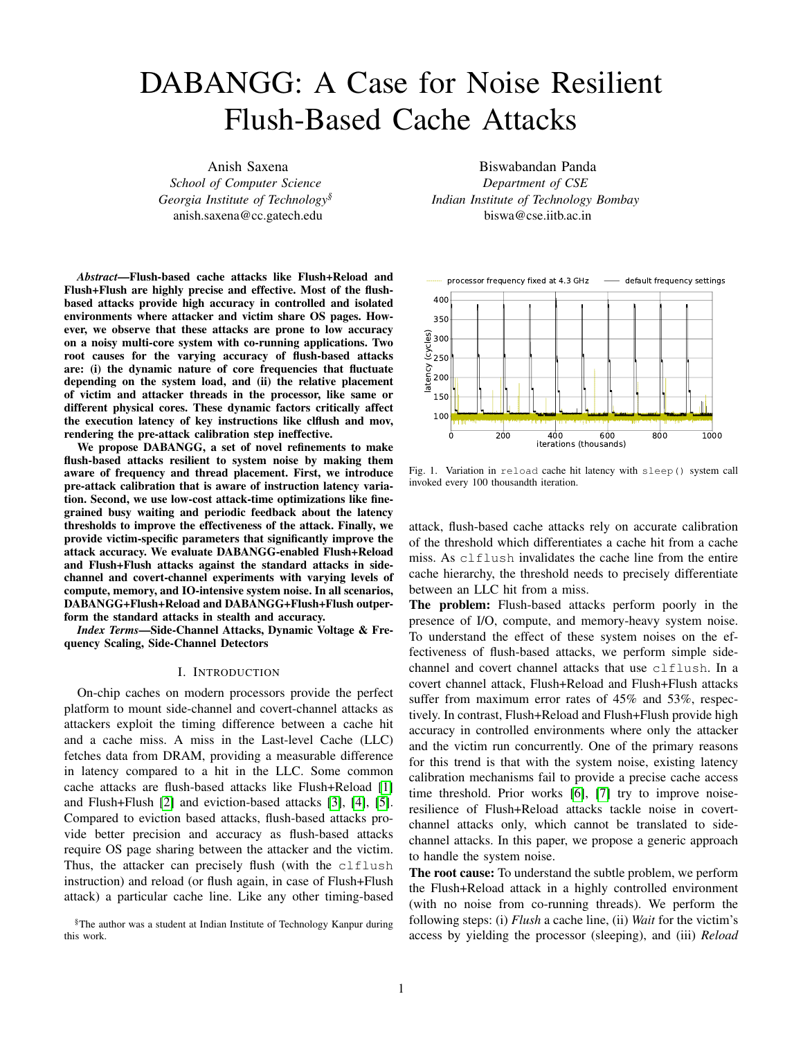<span id="page-3-0"></span>

Fig. 3. (a) and (b) show the variation of clflush and reload latency, respectively, at default frequency scaling settings. The attacker and victim processes run at L-L-L noise level and are not pinned to any cores. As the attacker loop runs for more iterations, the processor frequency increases, resulting in lower observed latency. We compute the threshold using standard attack calibration tools available at [https://github.com/IAIK/flush](https://github.com/IAIK/flush_flush)\_flush.

of attack loop iterations in Figure [3\(a\),](#page-3-0) and for reload instruction in Figure [3\(b\).](#page-3-1)

Root Causes: The variation in latency of instruction execution with same micorarchitectural state is due to two rootcauses: (i) the Dynamic Voltage & Frequency Scaling (DVFS) and (ii) OS scheduling behavior.

*1) Dynamic Voltage & Frequency Scaling:* DVFS changes the frequency of the processor, while the timekeeping mechanism in modern  $x86$  64 based machines is invariant of these frequency changes. Thus, the time-stamp counter increments like a wall-clock and the DVFS-induced latency variation is visible in its readings. Modern processors use different frequency domains for the cores and the LLC and memory controllers that, as per Intel terminology, form part of the Uncore [19]. The Uncore's frequency and power are managed separately and in general do not change frequency when a core frequency transition occurs.

*2) OS Scheduling Behavior:* The OS can schedule processes on any logical CPU as per its scheduling policy behavior. Usually, at lower noise-levels (L-L-L, L-L-H, L-H-L, H-L-L), the OS tries to schedule distinct processes on distinct physical cores to maximize availability of resources like private caches for each process. Thus, the attacker and victim processes are present on distinct cores, sharing only the LLC. However, at high noise-levels (H-H-H, H-H-L, H-L-H, L-H-H), as such scheduling is not always possible, the attacker and victim processes may be scheduled on the same physical core. The latency of an LLC cache reference depends on the mapping of attacker and victim processes to cores. This latency difference is more pronounced if the LLC is sliced [20], which is common for processors with large number of cores, including the Xeon processor in our experimental setup. The same argument extends to NUMA nodes wherein the latency difference is even more significant [9].

We now analyze the effect of (i) and (ii) together and its impact on instruction latency by focusing on clflush. Figure [4](#page-3-2) shows the variation in clflush latency at different configurations of fixed processor frequencies and relative

<span id="page-3-1"></span>

<span id="page-3-2"></span>Fig. 4. Variation of clflush latency for different configurations at fixed frequencies (denoted by the curves) and L-L-L noise level. The attacker runs on core-0  $(C_0)$ . In configuration 1, there are no victim accesses and attacker measures clflush miss latency. In configurations 2 and 3, victim runs on  $fC_0g$  (same logical core) and  $fC_1g$  (different physical core), respectively. In configurations 4 to 6, a multi-threaded victim runs on  $fC_0$ ;  $C_1g$ ,  $fC_1$ ;  $C_2$ ;  $C_3g$ , and  $fC_0$ ;  $C_1$ ;  $C_2$ ;  $C_3g$  respectively. Attacker measures clflush hit latency in configurations 2 to 6.

victim placement. For all curves (representing system at different frequencies), going from same logical core to different physical core (configurations 2 and 3, respectively) represents a measurable increase in clflush hit latency. Moreover, for all configurations (representing different relative placement of victim and attacker processes), there is considerable difference in latency at low processor frequency (red curve) and high processor frequencies (black and green curves). Depending on the system noise level, any of red, green, or black curves at configurations 2 to 6 can represent the  $c1f$ lush hit latency.

Takeaway: The instruction execution latency at a given microarchitectural state depends on frequency as well as mapping of victim and attacker processes to logical and physical cores.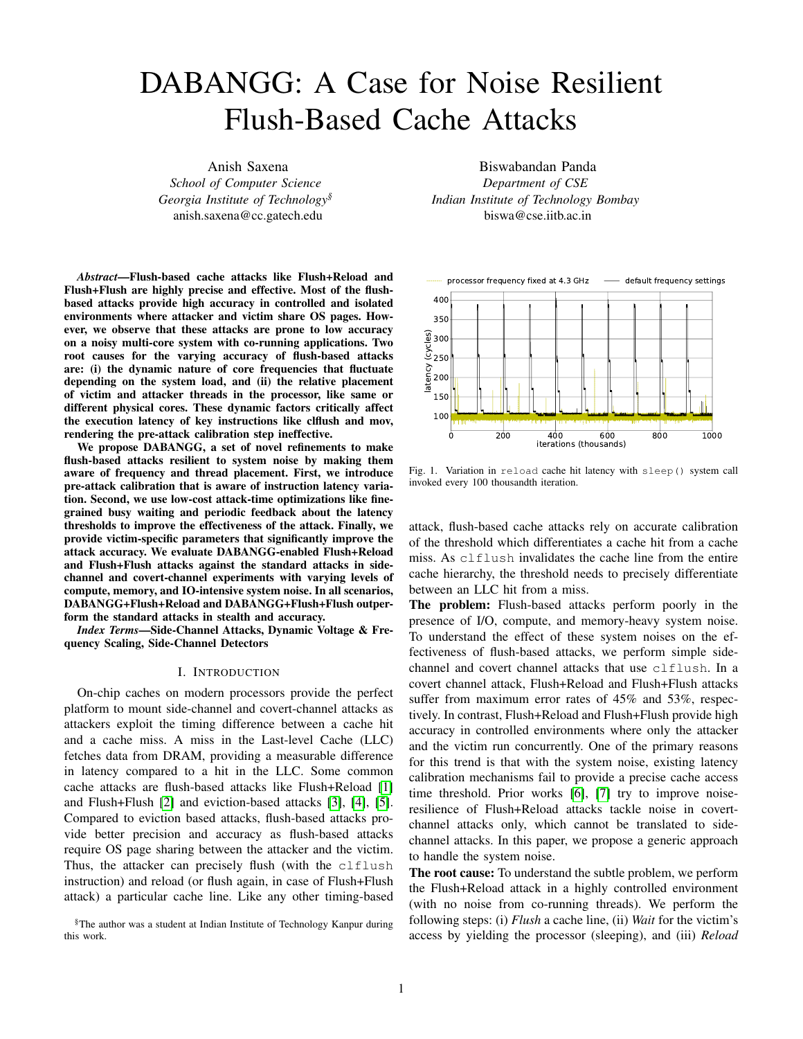# *C. clflush and reload Instructions*

We now compare the accuracy of F+F and F+R attacks by analyzing the behavior for clflush and reload instructions.

**clflush**: Figure [3\(a\)](#page-3-0) shows the latency of clflush instruction (at L-L-L noise level) as a function of attack-loop iterations. The instruction latency decreases as the attacker code iterates through the attack loop and stabilizes after 75,000 iterations, taking up 335 million cycles (one iteration is about 4,500 cycles). The latency difference between a clflush hit and a miss at the stabilized latency is 100 cycles. Figure [4](#page-3-2) showcases the different latencies for clflush cache hit at different frequency configurations. The attacker and victim cores run at high frequencies while other cores run at lower frequencies. The clflush hit latency varies widely with frequency and the difference between a hit and a miss is, on average, 17% of the hit latency.

**reload**: Figure [3\(b\)](#page-3-1) shows the variation of reload latency over attack-loop iterations. The reload cache hit latency stabilizes to 100 cycles within 15,000 iterations. Moreover, Figure [2](#page-1-0) shows that the hit latency for same logical core is only 60 cycles. Whereas, the lowest reload miss latency is DRAM access latency at 400 cycles. On our system, the variation of reload miss latency with processor frequency is such that the highest hit latency is less than the lowest miss latency. Note that this behavior varies depending on the processor.

Takeaway: Flush+Reload attack is more resilient to frequency changes due to a significant difference between reload hit and miss latency. Flush+Flush attack is vulnerable to latency variation as the hit and miss latency are of comparable magnitude.

#### <span id="page-4-2"></span>*D. Waiting phase of the Attack*

The Linux scheduler is called proactively by the attacker using sched\_yield() function call in standard attacks. Cooperatively yielding hints the power governor to assess the frequency and potentially change it, and allows the OS scheduler to context switch the attacker process to another core. It is pragmatic to replace the sched\_yield() based cooperative approach with a more aggressive compute-intensive approach. We run compute intensive operations in a busy-wait type loop, which steps up the processor frequency. It allows the execution latency of instructions to stabilize quickly. It also provides control over the waiting times in the attack loop.

Therefore, we use a compute-heavy loop for wait qap iterations in each waiting phase of the attack loop. Here, the variable wait\_gap can be dynamically changed to provide precise control over the waiting period. If an address is accessed multiple times by the victim in a gap period, there is no way to ascertain one access from the other. On the other hand, if the attacker flushes the addresses in rapid succession, a true cache-hit may be missed due to overlap with phase-I of the attack. A suitable waiting period is therefore, empirically derived. Existing literature [6] suggests that a waiting period of 5,000 to 10,000 cycles is sufficient to detect individual



<span id="page-4-1"></span>Fig. 5. Variation of reload hit latency with attack iterations.

cache accesses in many important flush-based attacks. We can apply this analysis to the phase-II of synchronous attacks. In the case of asynchronous attacks, we don't need to wait a lot between probes. In that case, however, to eliminate the frequency-induced variation in latency, we run the computeintensive loop for a few million cycles to stabilize the core at high frequency. We call the Compute\_Heavy\_Code() function once before going into the attack loop with a large wait\_gap ( 10<sup>5</sup>).

### IV. DABANGG ATTACK REFINEMENTS

<span id="page-4-0"></span>Taking into account the insights uncovered in previous sections, we outline three refinements over baseline flush attacks. We call these the DABANGG refinements. They make the attacker frequency-aware and victim-aware and consequently noise-resilient.

Refinement #1: We calibrate comprehensively to capture the frequency and core placement-based latency variation to obtain multiple thresholds.

Refinement #2: We periodically verify the victim's memory access pattern and whether the current threshold is correct in the attack through a feedback loop.

**Refinement #3:** We use a compute-intensive loop providing fine grained control over waiting period in the attack loop.

The following sub-sections detail the implementation of DABANGG refinements.

#### *A. Calibration*

In this pre-attack step, the calibration program determines attacker-specific parameters. The attacker profiles the victim application to identify the target memory address(es) according to the attack scenario and threat model. Table II provides the details of all the parameters that DABANGG attack loop uses and we refer to it throughout this section.

The calibration program derives attacker-specific parameters from the latency vs iterations behavior. We use Figure [5](#page-4-1) (a fine-grained version of Figure [3\(b\)\)](#page-3-1) to explain the method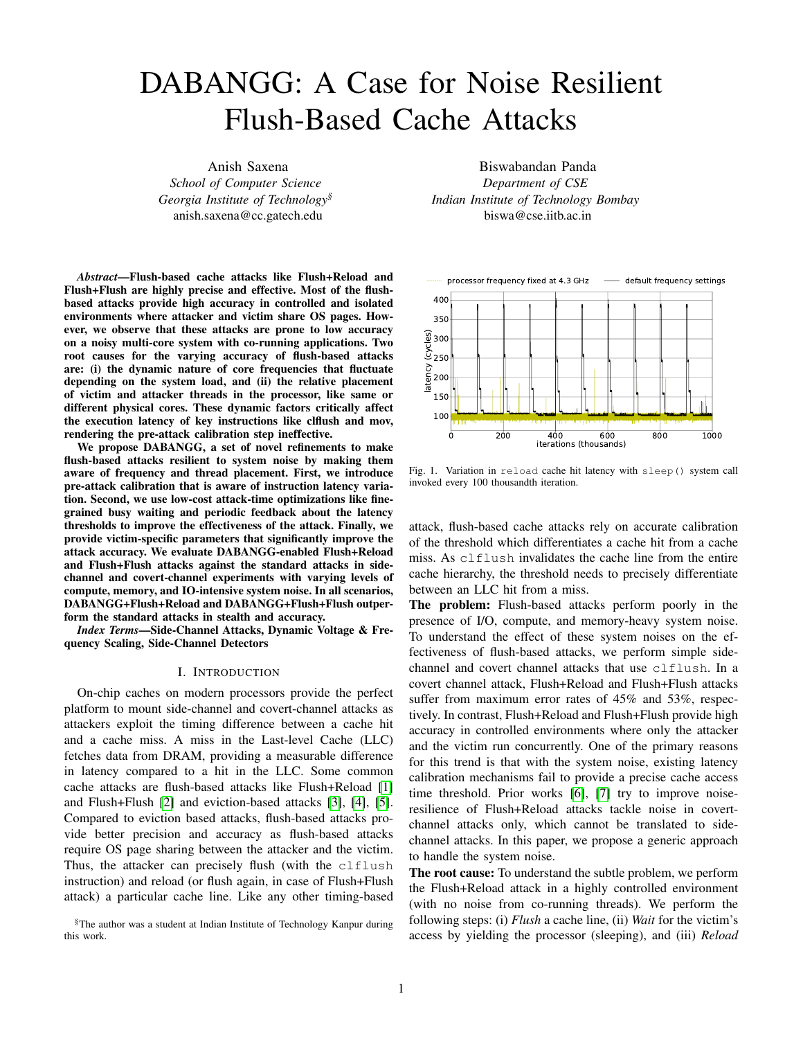TABLE II

SPECIFICATIONS OF PARAMETERS AND RUNTIME VARIABLES USED BYDABANGG ATTACK LOOP (REFERALGORITHM 1).

| Parameters                                 | Name           | <b>Description</b>                                                                                                                                                                                                                                               |  |  |  |
|--------------------------------------------|----------------|------------------------------------------------------------------------------------------------------------------------------------------------------------------------------------------------------------------------------------------------------------------|--|--|--|
| Attacker-Speci c                           | T_array        | An array with each entry stores a tuple of lower and upper latency threskolldsTH>.                                                                                                                                                                               |  |  |  |
|                                            | regular gap    | Regular waiting period of attacker in Phase II.                                                                                                                                                                                                                  |  |  |  |
|                                            | step width     | Average width of a step in terms of number of attack loop iterations in latency vs #iterations plot.                                                                                                                                                             |  |  |  |
| Victim-Speci c                             | acc interval   | Average number of attack loop iterations between two victim accesses without considering<br>burst-mode accesses in between.                                                                                                                                      |  |  |  |
|                                            | burst_seq      | In case of burst-mode access sequence by victim, number of victim accesses to target memory<br>address in a single burst.                                                                                                                                        |  |  |  |
|                                            | burst wait     | Waiting time gap in terms of attack loop iterations before discarding an incomplete burst-mode<br>access sequence as a false positive.                                                                                                                           |  |  |  |
|                                            | burst gap      | Reduced waiting time gap to monitor burst-mode access sequence.                                                                                                                                                                                                  |  |  |  |
| <b>Runtime Variables</b><br>in Algorithm 1 | iter num       | A counter that counts the number of attack loop iterations.                                                                                                                                                                                                      |  |  |  |
|                                            | $<$ TL, TH $>$ | Pair of lower (TL) and upper (TH) latency threshold to detect cache hit.                                                                                                                                                                                         |  |  |  |
|                                            | reload latency | Execution latency of reload instruction in processor cycles.                                                                                                                                                                                                     |  |  |  |
|                                            | last hit       | Number of attack loop iterations since last true cache hit. A true cache hit is recorded by attacker<br>when victim access interval (adderval) and victim burst-mode access sequence (bared)<br>criteria are satis ed, in addition to reloal attency 2 [TL, TH]. |  |  |  |
|                                            | potential hit  | Number of attack loop iterations since last potential cache hit. A potential hit may be either a<br>false positive or a part of burst-mode access sequence by victim application.                                                                                |  |  |  |
|                                            | seqid          | Sequence identi er, stores the number of potential cache hits which, if it forms a burst-mode access<br>sequence, implies a true cache hit.                                                                                                                      |  |  |  |

to compute these parameters. The reload hit latency retetected should be  $\frac{20;000}{40}$  = 500 cycles. This implies resents a stepped distribution and array captures this a burst\_gap distribution. Multiple pairs of<  $TL; TH >$  are stored as (compared to regular gap tuples inT\_array (refer to Table II). From Figur[e](#page-4-1) 5, four false negatives, we tolerate some missed cache-hits to dedistinct steps are visible. The width of each step, which termine the sequenc burst\_seq = the extent of each step on the x-axiste  $(p_w$  width ), is where burst\_wait 4000 attack loop iterations. The rst step, where num 2 [0; 4000], we can accurately distinguish a cache hit if loop tolerates 2 iterations of cache misses between burst measured latency is between 375 and 400 cycles. Therefore esses before discarding the access sequence. T\_array[0]  $=$  < 375, 400 > . Similarly, we add three more 10, which increases attack granularity  $= 200$ ). Moreover, to reduce  $\frac{40}{\text{burst\_wait}}$  and = x is small compared to 40. For example, burst\_seq = 20 for burst\_wait = 2. That is, the attack

tuples to T array . These parameters are independent of victim applications.regular\_gap parameter depends on parameter depends onC. Attack Loop

the type of attack mounted (asynchronous or synchronous). me type of alliach modified (asynomotious of synomotious). Algorithm 1 explains the DABANGG attack loop. Line<br>regular\_gap = 200 provides a waiting period of 5,000 to initialized the syntime variables of interest, rafes Tab 10,000 cycles (refer to Secti[on III-](#page-4-2)D for details).  $1 = 200$  provides a waiting period of 5,000 to  $\frac{1}{1}$  initializes the runtime variables of interest, refer Table II for details. Line 3 increments the iteration number. Line 4

# B. Victim Pro-ling

In the initial phase of the attack, the attacker derives victimism. iter\_num divided by step\_width linearly indexes speci c parameters by observing the memory access patternarray to provide a single pair of thresholds per step. Line for target addresses of the victim. We brie y explain the starts the attack and ushes the shared memory address. method that we use to compute these parameters. Lines 6 to 12 represent the waiting phase of the attack. Ap-

updates<  $TL:TH >$  through a simple indexing mecha-

Consider that the victim application accesses the criticatoximately once every 400 iterations (0.25% of all iterations), memory address once in one million cycles on average, at the attack loop veries the current value of TL; TH > . an attack-loop iteration takes 10,000 cycles at low processone Verify-Threshold() frequency, theracc\_interval  $\frac{1,000,000}{10,000}$  = 100. A burst- 2, checks if the current tuple of thresholds, TL; TH > mode access sequencecurs when the target address inccurately detect a cache hit at the current frequency. Lines 2 accessed several times within a few thousand cycles, or witlaind 3 of Algorithm 2 measure the accurate access latency for few regular\_gap based attack loop iterations. Considetarget memory address. If 2 [T L; T H ], the function returns that the victim accesses the address 40 times within 20,000 hout making any changes. However, if  $\geq$  [TL; TH] cycles, for example. If we wait using thregular\_gap , (Line 4), then the tuple is updated. This is done by looking up which takes 10,000 cycles at low frequency, we can onlly\_array such that 2[TL<sub>new</sub>,TH<sub>new</sub>] and T\_array[i] observe 2 cache hits. We utilize the burst-mode parameters TL <sub>new</sub>; TH<sub>new</sub> > (Line 5). Lines 6 and 7 update the to capture the burst-access pattern at ner granularity. function, given in Algorithm tuple anditer\_num , respectively. Veri cation and feedback

burst\_seq ad (since we have 40 accesses by vicenables threshold to dynamically adapt to frequency changes tim in burst-mode) and waiting period when a burst is hich differ from Figur[e 5](#page-4-1) in extremely noisy environments.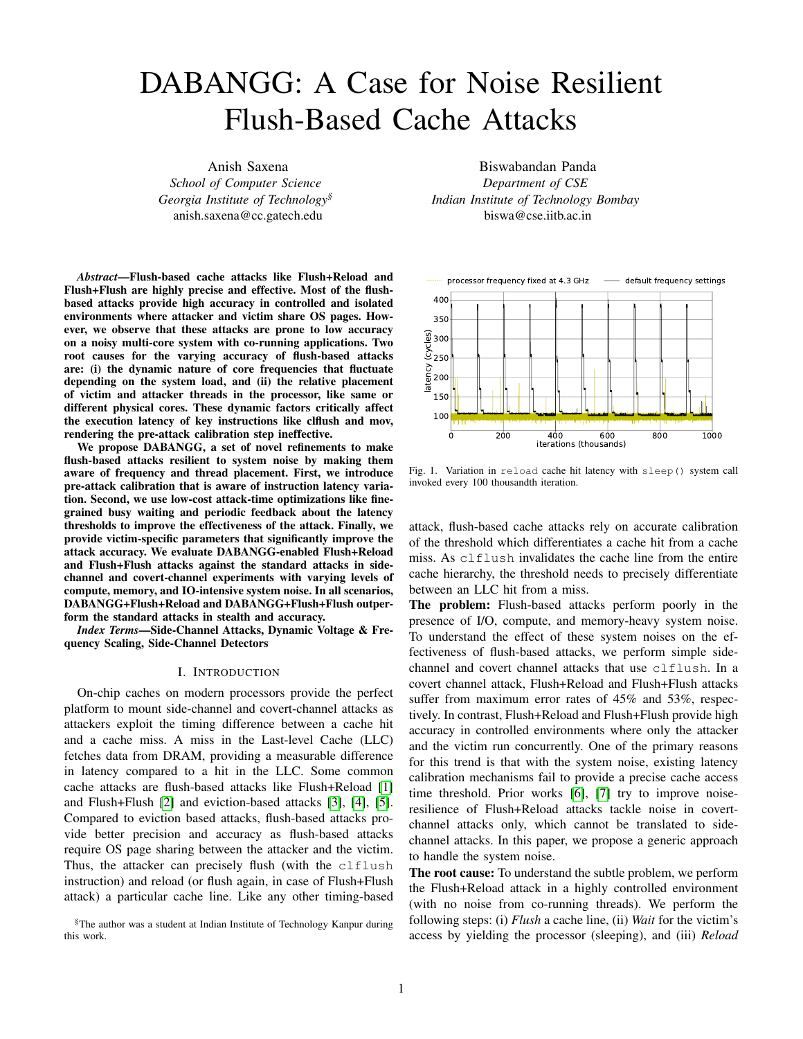# ALGORITHM 1: DABANGG+FLUSH+RELOAD

|                | 1 Initialization: last_hit, potential_hit, iter_num, segid = 0                                            |  |  |  |  |  |
|----------------|-----------------------------------------------------------------------------------------------------------|--|--|--|--|--|
| $\overline{2}$ | while true do                                                                                             |  |  |  |  |  |
| 3              | iter num $+= 1$                                                                                           |  |  |  |  |  |
| 4              | $\langle TL, TH \rangle = T_{array}$ $\frac{iter\_num}{step\_width}$ ] // update $\langle TL, TH \rangle$ |  |  |  |  |  |
| 5              | cl ush(addr) // PHASE-I: Flush                                                                            |  |  |  |  |  |
|                | // PHASE-II: Wait                                                                                         |  |  |  |  |  |
| 6              | if (!rand()%400)then // branch taken 0.25% of                                                             |  |  |  |  |  |
|                | time                                                                                                      |  |  |  |  |  |
| 7              | Verify Threshold (iternum, addr) // Algorithm 2                                                           |  |  |  |  |  |
| 8              | schedyield() // cooperatively yield the CPU                                                               |  |  |  |  |  |
| 9              | else if (seq $id > 0$ ) then// burst sequence detected                                                    |  |  |  |  |  |
| 10             | Compute Heavy Code(burstgap)                                                                              |  |  |  |  |  |
| 11             | else                                                                                                      |  |  |  |  |  |
| 12             | Compute Heavy_Code(regulargap)                                                                            |  |  |  |  |  |
|                | // PHASE-III: Reload                                                                                      |  |  |  |  |  |
| 13             | reload latency = MeasureReload Latency(addr)/ Similar                                                     |  |  |  |  |  |
|                | to code in [1]                                                                                            |  |  |  |  |  |
| 14             | if (reload_latency2 [TL,TH]) and (last_hit > acc_interval)                                                |  |  |  |  |  |
|                | and (segid > burst_seq)) then $//$ true hit                                                               |  |  |  |  |  |
| 15             | last hit, seq id = $0$ // reset variables                                                                 |  |  |  |  |  |
| 16             | print "low reload latency, it is a cache hit!"                                                            |  |  |  |  |  |
| 17             | else if (reload latency 2 [TL, TH]) then// potential hit                                                  |  |  |  |  |  |
| 18             | potential hit = last hit                                                                                  |  |  |  |  |  |
| 19             | seg id $+= 1$ // increment sequence identifier                                                            |  |  |  |  |  |
| 20             | else                                                                                                      |  |  |  |  |  |
| 21             | last hit $+= 1$ // $+1$ iteration since last hit                                                          |  |  |  |  |  |
| 22             | print "high reload latency, it is a cache miss!"                                                          |  |  |  |  |  |
| 23             | if ((last hit - potential hit) $>$ burst wait) then                                                       |  |  |  |  |  |
| 24             | $seq_id = 0$ // discard seq as false                                                                      |  |  |  |  |  |
|                | positive                                                                                                  |  |  |  |  |  |
|                |                                                                                                           |  |  |  |  |  |

# ALGORITHM 2: Verify Threshold

1 Input: iter\_num, addr

```
2 reload(addr)
```

```
3 = MeasureReload_Latency(addr)4 if ( 2[TL,TH]) then<br>\parallel // T_array[i].TL <
```

```
// T_array[i].TL < < T_array[i].TH where
```

```
i is index of tuple in T_array
```

```
5 \mid 9 < TL<sub>new</sub>, TH<sub>new</sub> > = T_array[i] : 2 [TL<sub>new</sub>, TH<sub>new</sub>]
```

```
6 \mid \text{ cTL}, \text{TH} \text{ > } = \text{ cTL}_{\text{new}} , \text{TH}_{\text{new}} \text{ > }
```
 $7$  | iter\_num = stepwidth i

<sup>8</sup> end

| TABLE III                        |
|----------------------------------|
| PARAMETERS FOR KEYLOGGING ATTACK |

| Parameter    | $D + F + F$ | $D + F + R$ |
|--------------|-------------|-------------|
| acc interval | 1000        | 1000        |
| burst seg    | 15          | 20          |
| burst wait   | 3           | 2           |
| burst_gap    | 40          | 30          |
| regular gap  | 100         | 50          |

phase) of the attack loop with access to monitored cache line by the victim, wherein the attack loop ushes the line right after the victim accesses it. Line  $25$  resets id to zero if the waiting window is exceeded. This concludes an attack loop iteration, and the control switches back to Line 3 of the attack. Flush+Flush attack can similarly be extended to DABANGG+Flush+Flush.Note that in all the renements, we do not use or demand privileged operations.

V. EXPERIMENTS

After verifying thresholds, the control ow returns to Algorithm 1, Line 8. sched\_yield() function yields the pro- $\frac{1}{2}$  cessor cooperatively (once in a while based on the condition accuracy and stealth with standard Flush+Flush and in Line 6) to prevent detection of an attack loop based on ush-Reload attacks. In the following section, we evaluate the DABANGG re ned attacks in many real-world scenarios and compare

continuous usage of computationally heavy code. Most of the

time, however, the attacker runs a compute-heavy code (Lines We give an overview of our experimental setup, review the

10 and 12) andwait\_gap is appropriately chosen. Line 9 attacks and threat models, and present results. checks if an active burst sequence is present (thateins, id 0), and usesburst\_gap to reduce the waiting period of the attack loop. For all experiments, we use the same attacker-specic parameters as computed in Section IV-A and we state the victim-speci-c parameters of each attack scenario.

In the third phase of the attack. Line 14 performs the

reload and calculates its execution latency. Line 15 checks Side-channel Attack based on Keylogging for a true cache hit. Here, the condition  $\text{dist}_h$  it  $\longrightarrow$ acc\_interval ) checks if access interval since the lastrocessed by the victim program. We use an array of 1024 true cache hit is adequate and  $\left( \frac{1}{2} \right)$  > burst\_seq ) checks if the burst sequence pattern is identi ed. In this casnom. The victim program takes as input a character from a set the variables are reset in Line 16 and a true cache hit of accepted characters, and for each character, calls a unique registered in Line 17. Line 18 deals with a potential cach anction that runs a loop a few thousand times. The victim hit, wherein Line 20 increments the sequence identi er anglogram processes multiple characters every second, with a potential hit variable is updated. The objective of this attack is to infer a character sequence characters. The distribution of characters is uniform and ranwaiting period between two characters to emulate the human

Line  $22$  increments the last\_hit reload\_latency  $\geq$  [TL,TH]. Line 23 records a cachemiss for the current iteration of the loop. However, instead sharing between the victim and the attacker, the attacker resetting the sequence identi er (that seq\_id) right away, maps the victim program's binary (usingmap() function) awaiting window of burst\_wait exists (in Line 24). The waiting window allows us to accountbol to nd out the addresses of interest. The attacker then for cache-hits missed by the attack loop. A cache-hit misserobnitors the characters and infers if the speci ed characters by the attacker occurs due to overlapping in phase I (Fluate processed by the victim. variable if typing speed. Threat model: As all the ush-based attacks demand page attack loop iterations and disassembles the victim program's binary through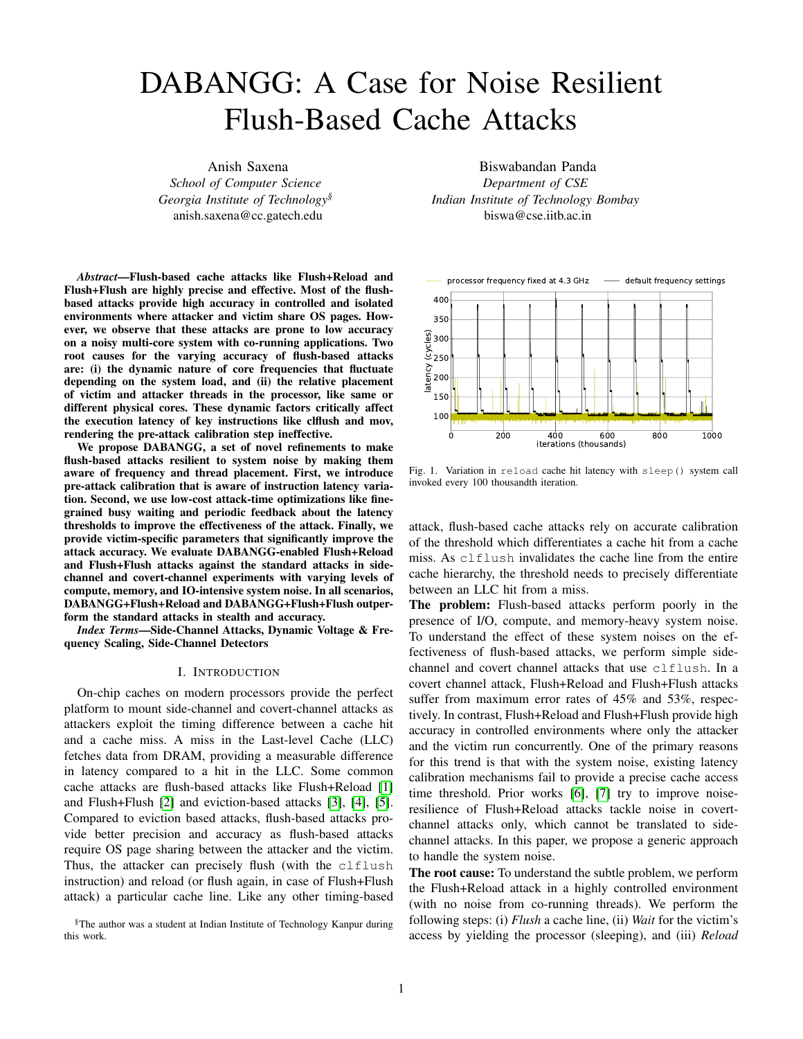#### TABLE IV

ACCURACY OF VARIOUS FLUSHBASED ATTACKS ON MULTIPLE CHARACTER KEYLOGGING.

| Attack      | I -I -I - | 1 -1 -H - | L-H-L | L-H-H               |       | H-L-H | H-H-L | H-H-H |
|-------------|-----------|-----------|-------|---------------------|-------|-------|-------|-------|
| $F + F$     | 37.2%     | 21.1%     | 31.4% | $16.\overline{7\%}$ | 36.4% | 27.2% | 19.7% | 34.6% |
| $D + F + F$ | 94.5%     | 92%       | 94.1% | 92.2%               | 95.4% | 94.6% | 93.2% | 96.7% |
| $F+R$       | 84.2%     | 69.3%     | 74.9% | 82.5%               | 85.1% | 75.4% | 71.6% | 78.2% |
| $D + F + R$ | 99.6%     | 91.2%     | 97.2% | 96.5%               | 98.5% | 97.2% | 99.2% | 98.1% |

 $(a)$  (b)

Fig. 6. Accuracy comparison of Flush+Reload, Flush+Flush, DABANGG+Flush+Reload, and DABANGG+Flush+Flush attacks at selected noise levels (for clarity) for different numbers of attack iterations where each iteration performs 4 encryption calless to Encrypt function.

Fig. 7. Error rates of different attacks in covert channel scenario at varioEig. 8. Bandwidth of different attacks in covert channel scenario at various noise levels. noise levels.

We derive victim-speci c parameters speci ed in Table IIland threshold. At high noise levels, the standard attacks which are calculated as per the pre-attack steps (section IV-&)eld the CPU unnecessarily, missing input characters (false The power-scaling settings are set to default state. We utili**ze**gatives). In contrast, DABANGG attacks produce more than the Levenshtein distance (Lev) algorithm [21] to compare tho% accuracy irrespective of the noise level. Note the relative accuracy of various attacks at all the system noise levels. Tinerease in attack accuracy with an increase in compute-Lev algorithm compares the actual input sequence with thetensive noise (H-L-L) compared to IO-intensive noise (L-Lsequence observed by the attacker and computes accuracywhich exempli es the effect of DVFS and OS scheduling. based on the number om sertion, substitutionand deletion A breakdown of utility of DABANGG renements is presented operations. in Appendix A.

Results: As shown in Table IV, DABANGG-re ned attacks produce accurate results and more noise-tolerant than the AES Key Extraction in OpenSSL standard attacks. The Flush+Flush attack, in particular, suffers from highly variableclflush latency and yielding the CPU We exploit the T-Table based implementation of AES in too often. The standard attacks suffer signi cantly from fals@penSSL [22], which is still in use commercially, notably positives at low noise levels due to imprecise calibration the FIPS mode of OpenSSL 1.0.2 [23]. We build the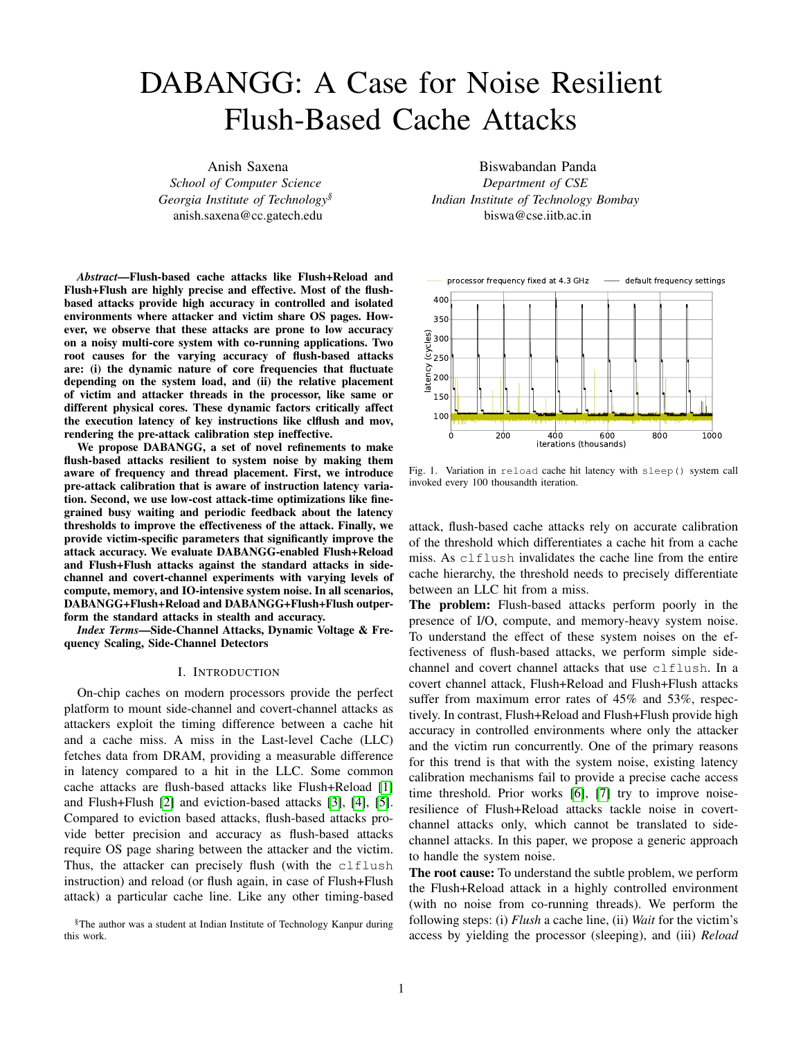TABLE V PARAMETERS FORAES ATTACK .

| Parameters                             | $D + F + F$ | $D + F + R$ |
|----------------------------------------|-------------|-------------|
| acc interval, burst seq, and burstwait |             |             |
| burst gap and regulariap               | 400         | 400         |

library version 1.1.0f from source and enable T-Tables through con-guration options.

Threat model: We mount an asynchronout pown ciphertext attack, where the victim nishes execution befor $e_{o}$ cket, which is monitored by the receiver using a ush-based the attacker evaluates the memory addresses. The avereggert channel. The presence of the cache line corresponding execution time ofAES\_Encrypt is 750 cycles, too small to the memory address of the socket is interpreted as a set bit for attacker synchronization on a busy system. We monitgy the receiver, otherwise is interpreted as a reset bit. the rst memory address of  $f_i^{(10)}$ ; i 2 [0; 3]. We only need to ush one cache line before every encryption, without requiringetween the programs, and is used by the sender to send the the plaintext. This provides us with the reload-frequency of t-stream. The size of the bit-stream is 1000 bytes for our the ciphertext  $\phi$  bytes,  $(c_0; \ldots; c_{15})$ . We then determine the experiment. Table VI shows the parameters of interest. correct secret keyk) bytes. The algorithm for ciphertext Results: Figure 7 illustrates the error rate of these attacks determination and consequent key determination is outlinedvarious noise levels. We also plot the bandwidth of different by G. Irazoquiet al [24]. Threat model: The sender core sends a bit-stream through a Note that the socket does not establish any direct connection attacks in Figure 8. The bandwidth increases as the average

The parameters speci c to this attack are speci ed in Tablore frequency (that is, compute or memory-intensive noise V. We do not need to monitor any burst-mode sequences el) increases. We obtain a peak bandwidth of 217 KBps since this is an asynchronous attack. We aim to minimizesing the DABANGG+Flush+Reload attack, with an overall the number ofAES\_Encrypt function calls that perform error-rate of 0.01%. While bandwidth increases as noise levels the 10 AES rounds. We again use the Levenshtein distancerease, a consistent low error rate is crucial for feasibility to determine accuracy over 1000 attack runs. We vary tbe the covert channel, which is provided by the DABANGG number of attack iterations where each iteration requiresre nements. The bandwidth increases at higher noise levels AES\_Encrypt function calls, each on randomly generate that is, L-H-H, H-L-H, H-H-L, and H-H-H levels) because plaintext and the same secret key, from<sup>3</sup> 10 4 10<sup>5</sup> attack all core of our PCPS-enabled processor run at high frequency iterations. at these noise levels (refer to Section III-A for details). This

Results: Figures 6(a) and 6(b) show the bene ts of DA-allows the programs to send and receive more bits per second. BANGG renements. The F+R attack has an average ac-VI. COUNTERMEASURES

curacy of 90% at 100K iterations while D+F+R reaches the same accuracy within 20K iterations, a fimprovement. The dynamic thresholds help distinguish between baad hit and miss when the frequency isn't stable. The lowepplicable to ush-based attacks, also apply to DABANGGnumber of encryptions required primarily increases the steathabled attacks. From the Operating System's view, of F+R attack. If software countermeasures are implemented DABANGG-enabled attacks increase the CPU utilization of detect repeated calls toES\_Encrypt within a short period, the attacker thread, compared to standard attacks, as we rarely D+F+R is much more likely to evade detection. As DABANGG-re ned attacks are fundamentally ushbased attacks, mitigation and detection techniques that are yield the CPU. Many workloads have high CPU utilization, but

Figure 6(a) illustrates the much quicker rise in accuradue OS can potentially use other indicators (like performance for increasing attack iterations by integrating nement #3 counters, explained below) to pinpoint the attacker thread to the standard Flush+Flush attack. While the number with more con dence. We now discuss several mitigation and AES\_Encrypt function calls is higher than F+R attack detection techniques in detail.

for both variants of F+F attack, the D+F+F attack achieves 90% accuracy in 200,000 iterations, twice as quick than the A. Mitigation Techniques

400K iterations required for Flush+Flush. D+F+F attack also Ever since cache-based side-channels were showcased for produces a accuracy of more than 50% at the 15K iterations case of AES by Osvilet al. [5], several classes of mark, far lower than 100K+ iterations required by the F+piitigation techniques have been proposed, like partitioning attack. Again, we see a stealthier attack that is more likely mappings to the cache to avoid monitoring of victim cache evade detection. lines by the attacker [25] [26] [27] [28] and limiting the

C. Covert Channel Attack

granularity or privilege of instructions crucial to ush-based cache attacks, likedtsc and clflush [29] [30] [31].

We cooperatively leak data using a sender-receiver modelLimiting resolution of instructions, requiring privileged access the victim machine through a covert channel based on usto these instructions, and partitioning the cache does work, based cache attacks. but is rarely employed due to impact on performance and

TABLE VI PARAMETERS FOR COVERT CHANNEL ATTACK.

| Parameter    | $D + F + F$ | $D + F + R$ |
|--------------|-------------|-------------|
| acc interval | 10          | 10          |
| burst seg    | 2           |             |
| burst wait   |             |             |
| burst_gap    | 5           | 5           |
| regular gap  | 20          | 20          |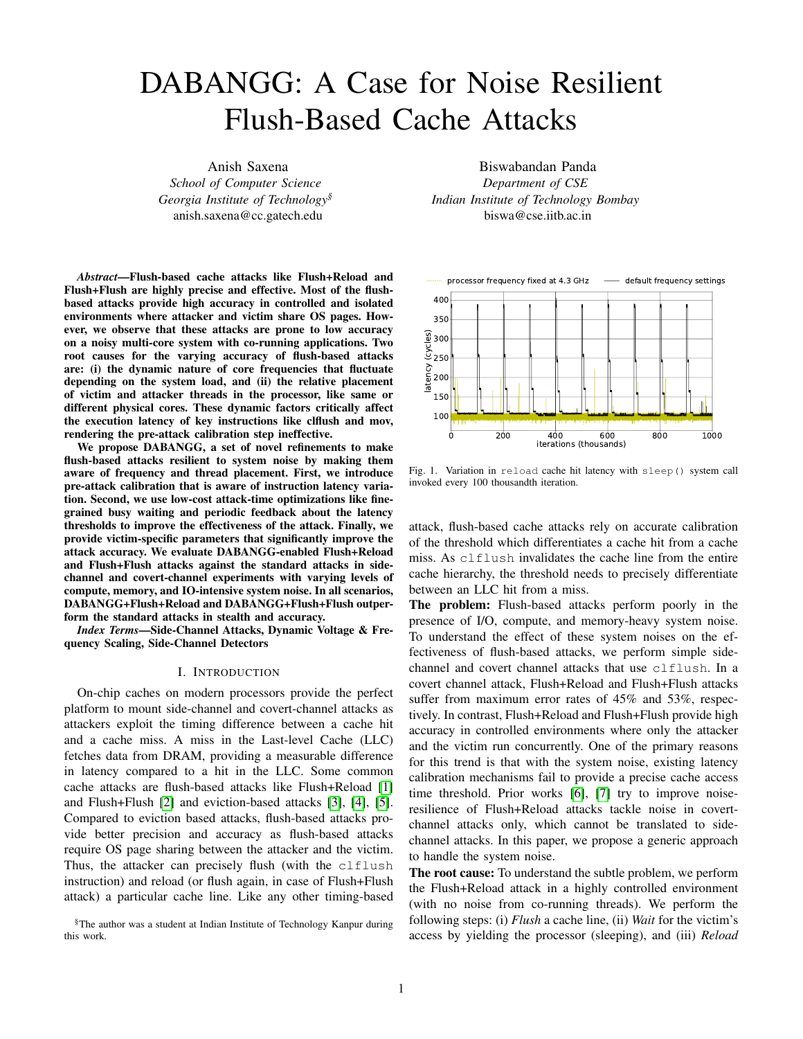utility. Moreover, many software-based mitigations suffer fronatency variation on single-core machines. Bangederal. worse performance impact than hardware-based mitigatid88] tackle OS scheduling issues using a coordinated Denial-[26], making them unattractive for all but the most security of-Service (DoS) attack by launching hundreds of threads critical use-cases. Security-conscious vendors with vulnerabbesingle-step the victim. However, such a scheme severely hardware either opt for performance impeding software-basied pacts the stealth of the attack due to the cache activity of mitigations or lightweight detection mechanism. the helper threads that can be tracked back to the attacker.

# B. Detection Techniques

A large number of detection techniques [32] [33] rely A large number of detection techniques [32] [33] Terry A few alternatives tordtsc time-stamp counter exist.<br>A few alternatives tordtsc time-stamp counter exist. mance measuring hardware counters, like Intel's PMC [16] mead that has \$5% higher resolution than that computer than the state of the state of the state of the state of the state of the state of the state of the state of t [34]. Detection routine at run-time in such techniques is a twostep process. In the rst step, the detector records performance counter readings for all processes. The detector then analyzes representative parameters like number of cache references, cache misses, miss-rate, etc. to identify suspicious behavior. Still variable due to DVFS and OS scheduling issues. Bulck This analysis can be done by a heuristics-based approach This analysis can be done by a neuristics-based approgri [40] utilize the APIC timer to single-step the victim. As it<br>[32] or by a learning-based approach [35] [36], where trained quires kernel lovel privileges, it is outs model infers a particular program as malicious, or otherwise.<br>Nets that west detasting masherings also fundamentally, paper. The sleep mechanism in standard Flush+Flush attack Note that most detection mechanisms also fundamentally use riote that most detection mechanisms also fundamentally  $\frac{1}{4}$  has been replaced by a compute-intensive loop to maintain<br>thresholds are are vulnerable to extreme system noise. De- core at a bigh frequency [37], reducing veloping noise-resilient cache attack detectors is a promising latency variance to an extent. As we showcase in Section III, future direction of research. which in-turn impacts stealth of the attack. Schwarzet al. [39] implement a lightweight timestep-counter given accurate threshold, as the resolution  $d\text{t}$ sc is adeduate for distinguishing a cache hit from a miss, the counterthread is effectively an overhead for non-SGX scenarios. Even representative parameters like number of cache referencies in counter-thread based method, the latency measured is tequires kernel-level privileges, it is outside the scope of this the core at a high frequency [37], reducing the noise-induced however, none of these techniques are suf cient in isolation.

# VII. RELATED WORKS

# A. Cache Attack Toolkits

Mounting accurate ush-based cache attacks requires presh-based attacks on execution latency of threshold-de-ning cise calibration and considerable setup time. Existing toolkits instructions. We showcase that dynamic core frequencies due like Mastik [37] and Cache Template Attacks [4] provide Dynamic Voltage and Frequency Scaling (DVFS) result in implementations of cache attacks, including ush-based atarying clilush implementations of cache attacks, including ush-based alarying clflush and reload instruction latencies. We also<br>tacks. They provide generic techniques to identify memory each the change in latency due to the relative posi addresses of interest, perform calibration, and mount attacks attacker and victim programs on CPU cores. To make without the need to delve into low-level details of their ush-based attacks resilient to system noise, we propose a implementation. In particular, Mastik attempts to resolve these for three re-nements, termed DABANGG, over standard issue of varying latency of instruction execution by utilizing a sh-based attacks. We outline techniques to perform latencycompute-intensive loop instead of sleeping in the wait period interest and victim-aware calibration. We use the set of the attack. In this paper, we analyze the dependence of the accuracy of reveal the change in latency due to the relative positioning thresholds to enable busy waiting and periodic feedback at

While such techniques and toolkits reduce the barrier of entry and the United States of Panalled attacks in sideto mount ush-based cache attacks, they do not eliminate the annul based keylogging, AES secret key extraction, and concern of this paper, that of inconsistent accuracy in presence into the scenarios, and show the effectiveness across of system noise due to variable instruction execution latency freent system noise levels. We note that DABANGG enhances the underly attack loop

and can be seamlessly integrated with attack toolkits.

# B. Existing Flush-Based Cache Attack Renements

It is known that cache-based side channels and covert https://github.com/DABANGG-Attack/Source-Code. channels are susceptible to system noise. Maueteal.

[7] characterize noise mathematically and implement run-The authors would like to thank Clementine Maurice and time error-correction techniques to design a noise-resistant<sup>ing</sup> admors would like to mank clementing madrice and<br>Prime Prabe hased sache covert channel. Error correction fester Rebeiro for their valuable feedback on the Prime+Probe based cache covert channel. Error-correction is This in 1999 Based eache sevent channel. Encreasement as supported by the SRC grant SRC-2853.001.<br>a powerful technique, but it is not applicable in a side-channel scenario as the victim does not follow the data-transfer pro-REFERENCES

tocol required to correct errors on-the-y. Didier and Maurice [9] take the CPU interconnect topology into account while calibrating Flush+Flush attack, but they cannot calibrate for (USENIX Security 14)2014, pp. 719-732.

# AVAILABILITY

The Github repository with the source code is available at

# IX. ACKNOWLEDGEMENTS

[1] Y. Yarom and K. Falkner, "Flush+ reload: a high resolution, low noise, l3 cache side-channel attack," @3rd USENIX Security Symposium

# VIII. C ONCLUSION

Noise can be Itered out during post-processing [39], [38] but it requires more traces (that is, more attack loop iterations)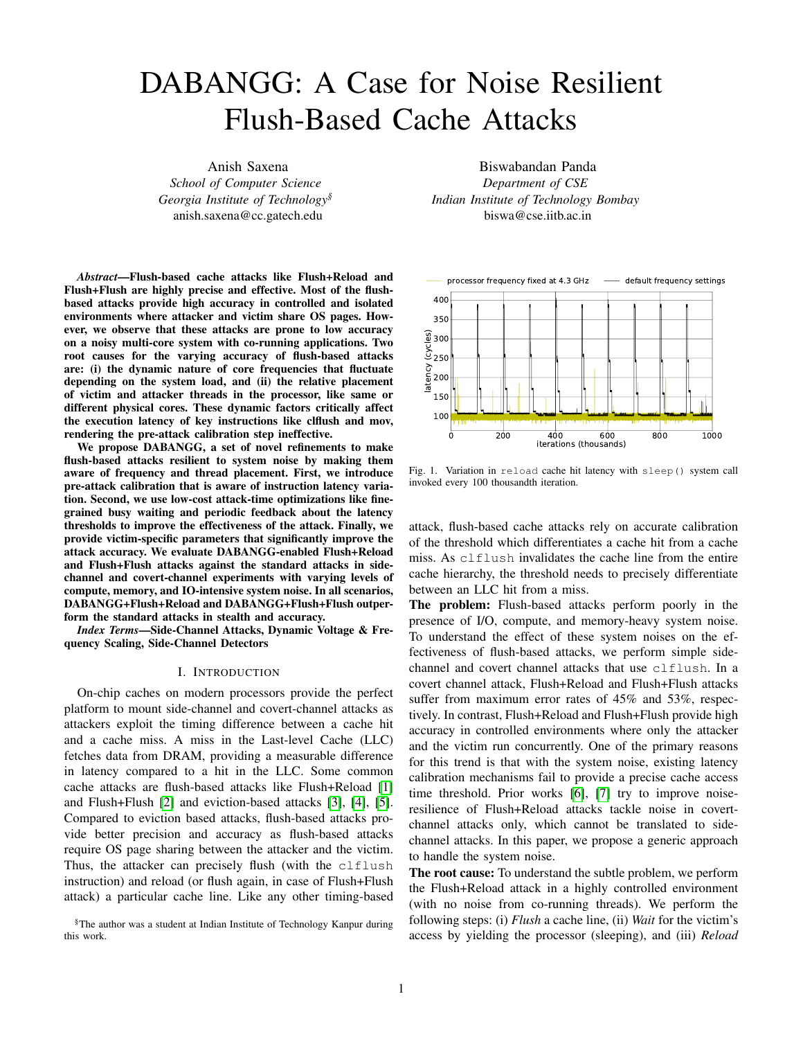- [2] D. Gruss, C. Maurice, K. Wagner, and S. Mangard, "Flush+ flush: a fast and stealthy cache attack," in *International Conference on Detection of Intrusions and Malware, and Vulnerability Assessment*. Springer, 2016, pp. 279–299.
- [3] N. Lawson, "Side-channel attacks on cryptographic software," *IEEE Security & Privacy*, vol. 7, no. 6, pp. 65–68, 2009.
- [4] D. Gruss, R. Spreitzer, and S. Mangard, "Cache template attacks: Automating attacks on inclusive last-level caches," in *24th* f*USENIX*g *Security Symposium (*f*USENIX*g *Security 15)*, 2015, pp. 897–912.
- [5] D. A. Osvik, A. Shamir, and E. Tromer, "Cache attacks and countermeasures: the case of aes," in *Cryptographers' track at the RSA conference*. Springer, 2006, pp. 1–20.
- [6] T. Allan, B. B. Brumley, K. E. Falkner, J. van de Pol, and Y. Yarom, "Amplifying side channels through performance degradation," in *Proceedings of the 32nd Annual Conference on Computer Security Applications, ACSAC 2016, Los Angeles, CA, USA, December 5-9, 2016*, S. Schwab, W. K. Robertson, and D. Balzarotti, Eds. ACM, 2016, pp. 422–435. [Online]. Available: http://dl.acm.org/citation.cfm?id=2991084
- [7] C. Maurice, M. Weber, M. Schwarz, L. Giner, D. Gruss, C. A. Boano, S. Mangard, and K. Römer, "Hello from the other side: SSH over robust cache covert channels in the cloud," in *24th Annual Network and Distributed System Security Symposium, NDSS 2017, San Diego, California, USA, February 26 - March 1, 2017*, 2017. [Online]. Available: https://www.ndss-symposium.org/ndss2017/ndss-2017-programme/ hello-other-side-ssh-over-robust-cache-covert-channels-cloud/
- [8] M. Weiser, B. Welch, A. Demers, and S. Shenker, "Scheduling for reduced cpu energy," in *Proceedings of the 1st USENIX Conference on Operating Systems Design and Implementation*, ser. OSDI '94. Berkeley, CA, USA: USENIX Association, 1994. [Online]. Available: http://dl.acm.org/citation.cfm?id=1267638.1267640
- [9] G. Didier and C. Maurice, "Calibration Done Right: Noiseless Flush+Flush Attacks," in *DIMVA 2021 - The 18th Conference on Detection of Intrusions and Malware Vulnerability Assessment*, Lisboa / Virtual, Portugal, Jul. 2021. [Online]. Available: https://hal.inria.fr/hal-03267431
- [10] Rafael J. Wysocki, "Cpu performance scaling the linux kernel," 2017, https://www.kernel.org/doc/html/v4.15/admin-guide/pm/cpufreq.html.
- [11] "Frequently asked questions about enhanced intel speedstep technology for intel processors," 2019, https://www.intel.in/content/www/in/en/ support/articles/000007073/processors.html.
- [12] "Amd powernow! technology- informational white paper," 2000, https: //www.amd.com/system/files/TechDocs/24404a.pdf.
- [13] Intel Corporation, *Intel® 64 and IA-32 Architectures Optimization Reference Manual*, April 2018, no. 248966-018.
- [14] "Amd turbo core technology," 2020, https://www.amd.com/en/ technologies/turbo-core.
- [15] D. Hackenberg, R. Schöne, T. Ilsche, D. Molka, J. Schuchart, and R. Geyer, "An energy efficiency feature survey of the intel haswell processor," in *Proceedings of the 2015 IEEE International Parallel and Distributed Processing Symposium Workshop*, ser. IPDPSW '15. Washington, DC, USA: IEEE Computer Society, 2015, pp. 896–904. [Online]. Available: https://doi.org/10.1109/IPDPSW.2015.70
- [16] Intel Corporation, *Intel® 64 and IA-32 Architectures Software Developer's Manual*, March 2018, no. 253669-033US.
- [17] "Stress tool," https://linux.die.net/man/1/stress.
- [18] D. A. Löbel, "Spec 2017 benchmark description," 2019, https://www. spec.org/cpu2017/Docs/benchmarks/505.mcf\_r.html.
- [19] D. L. Hill, D. Bachand, S. Bilgin, R. Greiner, P. Hammarlund, T. Huff, S. Kulick, and R. Safranek, "The uncore: A modular approach to feeding the high-performance cores." *Intel Technology Journal*, vol. 14, no. 3, 2010.
- [20] G. Irazoqui, T. Eisenbarth, and B. Sunar, "Systematic reverse engineering of cache slice selection in intel processors," in *2015 Euromicro Conference on Digital System Design*, 2015, pp. 629–636.
- [21] V. I. Levenshtein, "Binary codes capable of correcting deletions, insertions, and reversals," in *Soviet physics doklady. Vol. 10. No. 8*, 1966, pp. 707–710.
- [22] "Openssl," http://www.openssl.org.
- [23] S. Cohney, A. Kwong, S. Paz, D. Genkin, N. Heninger, E. Ronen, and Y. Yarom, "Pseudorandom black swans: Cache attacks on ctr\_drbg," in *2020 IEEE Symposium on Security and Privacy (SP)*, 2020, pp. 1241– 1258.
- [24] G. Irazoqui, M. S. Inci, T. Eisenbarth, and B. Sunar, "Wait a minute! A fast, Cross-VM attack on AES," in *International Workshop on Recent Advances in Intrusion Detection*. Springer, 2014, pp. 299–319.
- [25] L. Domnitser, A. Jaleel, J. Loew, N. Abu-Ghazaleh, and D. Ponomarev, "Non-monopolizable caches: Low-complexity mitigation of cache side channel attacks," *ACM Trans. Archit. Code Optim.*, vol. 8, no. 4, Jan. 2012. [Online]. Available: https://doi.org/10.1145/2086696.2086714
- [26] F. Liu, Q. Ge, Y. Yarom, F. Mckeen, C. Rozas, G. Heiser, and R. B. Lee, "Catalyst: Defeating last-level cache side channel attacks in cloud computing," in *2016 IEEE International Symposium on High Performance Computer Architecture (HPCA)*, 2016, pp. 406–418.
- Y. Zhang and M. K. Reiter, "Düppel: Retrofitting commodity operating systems to mitigate cache side channels in the cloud," in *Proceedings of the 2013 ACM SIGSAC Conference on Computer amp; Communications Security*, ser. CCS '13. New York, NY, USA: Association for Computing Machinery, 2013, p. 827–838. [Online]. Available: https://doi.org/10.1145/2508859.2516741
- [28] G. Saileshwar, S. Kariyappa, and M. Qureshi, "Bespoke cache enclaves: Fine-grained and scalable isolation from cache side-channels via flexible set-partitioning," in *2021 International Symposium on Secure and Private Execution Environment Design (SEED)*, 2021, pp. 37–49.
- [29] B. C. Vattikonda, S. Das, and H. Shacham, "Eliminating fine grained timers in xen," in *Proceedings of the 3rd ACM Workshop on Cloud Computing Security Workshop*, ser. CCSW '11. New York, NY, USA: Association for Computing Machinery, 2011, p. 41–46. [Online]. Available: https://doi.org/10.1145/2046660.2046671
- [30] Y. Yarom, Q. Ge, F. Liu, R. B. Lee, and G. Heiser, "Mapping the intel last-level cache," Cryptology ePrint Archive, Report 2015/905, 2015, https://eprint.iacr.org/2015/905.
- [31] Z. Wang and R. B. Lee, "New cache designs for thwarting software cache-based side channel attacks," *SIGARCH Comput. Archit. News*, vol. 35, no. 2, p. 494–505, Jun. 2007. [Online]. Available: https://doi.org/10.1145/1273440.1250723
- [32] M. Payer, "Hexpads: A platform to detect "stealth" attacks," in *Engineering Secure Software and Systems - 8th International Symposium, ESSoS 2016, London, UK, April 6- 8, 2016. Proceedings*, 2016, pp. 138–154. [Online]. Available: https://doi.org/10.1007/978-3-319-30806-7\_9
- [33] T. Zhang, Y. Zhang, and R. Lee, "Cloudradar: A real-time side-channel attack detection system in clouds," vol. 9854, 09 2016, pp. 118–140.
- [34] M. Chiappetta, E. Savas, and C. Yilmaz, "Real time detection of cache-based side-channel attacks using hardware performance counters," *IACR Cryptology ePrint Archive*, vol. 2015, p. 1034, 2015. [Online]. Available: https://eprint.iacr.org/2015/1034
- [35] S. Briongos, G. Irazoqui, P. Malagón, and T. Eisenbarth, "Cacheshield: Detecting cache attacks through self-observation," in *Proceedings of the Eighth ACM Conference on Data and Application Security and Privacy*, ser. CODASPY '18. New York, NY, USA: Association for Computing Machinery, 2018, p. 224–235. [Online]. Available: https://doi.org/10.1145/3176258.3176320
- [36] M. Mushtaq, A. Akram, M. K. Bhatti, M. Chaudhry, V. Lapotre, and G. Gogniat, "Nights-watch: A cache-based side-channel intrusion detector using hardware performance counters," in *Proceedings of the 7th International Workshop on Hardware and Architectural Support for Security and Privacy*, ser. HASP '18. New York, NY, USA: Association for Computing Machinery, 2018. [Online]. Available: https://doi.org/10.1145/3214292.3214293
- [37] Y. Yarom, "Mastik: A micro-architectural side-channel toolkit."
- [38] D. Gullasch, E. Bangerter, and S. Krenn, "Cache games bringing access-based cache attacks on aes to practice," in *2011 IEEE Symposium on Security and Privacy*, 2011, pp. 490–505.
- [39] M. Schwarz, S. Weiser, D. Gruss, C. Maurice, and S. Mangard, "Malware guard extension: Using sgx to conceal cache attacks," in *Detection of Intrusions and Malware, and Vulnerability Assessment*, M. Polychronakis and M. Meier, Eds. Cham: Springer International Publishing, 2017, pp. 3–24.
- [40] J. Van Bulck, F. Piessens, and R. Strackx, "Sgx-step: A practical attack framework for precise enclave execution control," in *Proceedings of the 2nd Workshop on System Software for Trusted Execution*, ser. SysTEX'17. New York, NY, USA: Association for Computing Machinery, 2017. [Online]. Available: https://doi.org/10.1145/3152701. 3152706